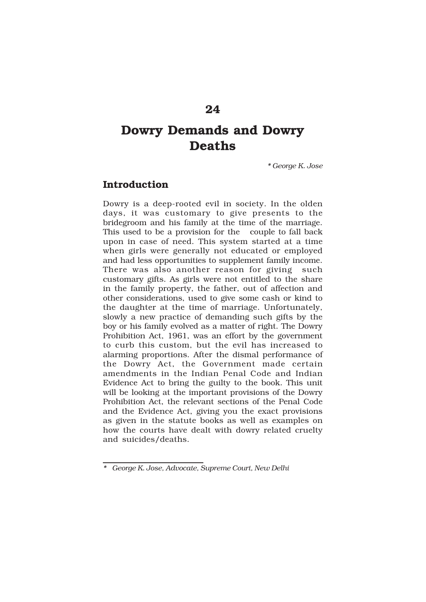# **Dowry Demands and Dowry Deaths**

*\* George K. Jose*

# **Introduction**

Dowry is a deep-rooted evil in society. In the olden days, it was customary to give presents to the bridegroom and his family at the time of the marriage. This used to be a provision for the couple to fall back upon in case of need. This system started at a time when girls were generally not educated or employed and had less opportunities to supplement family income. There was also another reason for giving such customary gifts. As girls were not entitled to the share in the family property, the father, out of affection and other considerations, used to give some cash or kind to the daughter at the time of marriage. Unfortunately, slowly a new practice of demanding such gifts by the boy or his family evolved as a matter of right. The Dowry Prohibition Act, 1961, was an effort by the government to curb this custom, but the evil has increased to alarming proportions. After the dismal performance of the Dowry Act, the Government made certain amendments in the Indian Penal Code and Indian Evidence Act to bring the guilty to the book. This unit will be looking at the important provisions of the Dowry Prohibition Act, the relevant sections of the Penal Code and the Evidence Act, giving you the exact provisions as given in the statute books as well as examples on how the courts have dealt with dowry related cruelty and suicides/deaths.

*<sup>\*</sup> George K. Jose, Advocate, Supreme Court, New Delhi*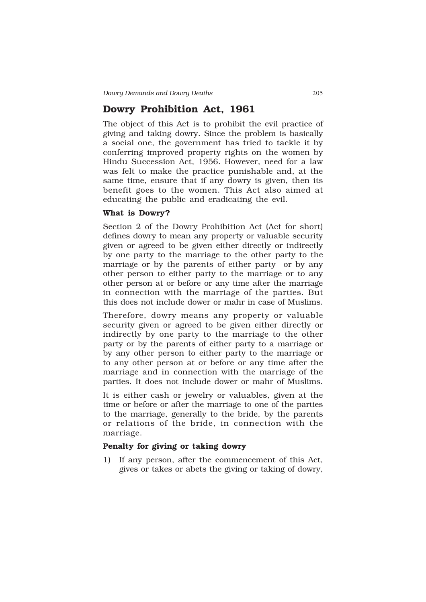# **Dowry Prohibition Act, 1961**

The object of this Act is to prohibit the evil practice of giving and taking dowry. Since the problem is basically a social one, the government has tried to tackle it by conferring improved property rights on the women by Hindu Succession Act, 1956. However, need for a law was felt to make the practice punishable and, at the same time, ensure that if any dowry is given, then its benefit goes to the women. This Act also aimed at educating the public and eradicating the evil.

#### **What is Dowry?**

Section 2 of the Dowry Prohibition Act (Act for short) defines dowry to mean any property or valuable security given or agreed to be given either directly or indirectly by one party to the marriage to the other party to the marriage or by the parents of either party or by any other person to either party to the marriage or to any other person at or before or any time after the marriage in connection with the marriage of the parties. But this does not include dower or mahr in case of Muslims.

Therefore, dowry means any property or valuable security given or agreed to be given either directly or indirectly by one party to the marriage to the other party or by the parents of either party to a marriage or by any other person to either party to the marriage or to any other person at or before or any time after the marriage and in connection with the marriage of the parties. It does not include dower or mahr of Muslims.

It is either cash or jewelry or valuables, given at the time or before or after the marriage to one of the parties to the marriage, generally to the bride, by the parents or relations of the bride, in connection with the marriage.

## **Penalty for giving or taking dowry**

1) If any person, after the commencement of this Act, gives or takes or abets the giving or taking of dowry,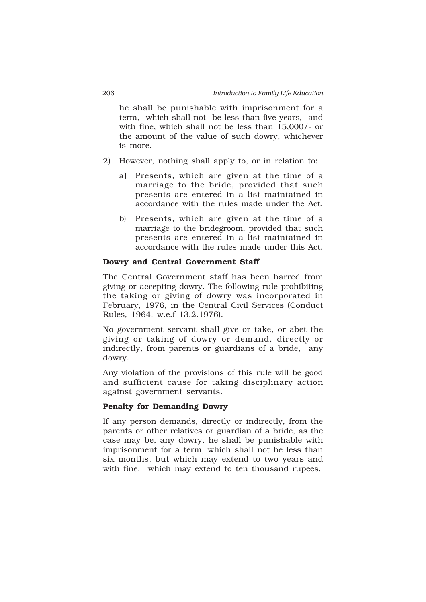he shall be punishable with imprisonment for a term, which shall not be less than five years, and with fine, which shall not be less than 15,000/- or the amount of the value of such dowry, whichever is more.

- 2) However, nothing shall apply to, or in relation to:
	- a) Presents, which are given at the time of a marriage to the bride, provided that such presents are entered in a list maintained in accordance with the rules made under the Act.
	- b) Presents, which are given at the time of a marriage to the bridegroom, provided that such presents are entered in a list maintained in accordance with the rules made under this Act.

#### **Dowry and Central Government Staff**

The Central Government staff has been barred from giving or accepting dowry. The following rule prohibiting the taking or giving of dowry was incorporated in February, 1976, in the Central Civil Services (Conduct Rules, 1964, w.e.f 13.2.1976).

No government servant shall give or take, or abet the giving or taking of dowry or demand, directly or indirectly, from parents or guardians of a bride, any dowry.

Any violation of the provisions of this rule will be good and sufficient cause for taking disciplinary action against government servants.

## **Penalty for Demanding Dowry**

If any person demands, directly or indirectly, from the parents or other relatives or guardian of a bride, as the case may be, any dowry, he shall be punishable with imprisonment for a term, which shall not be less than six months, but which may extend to two years and with fine, which may extend to ten thousand rupees.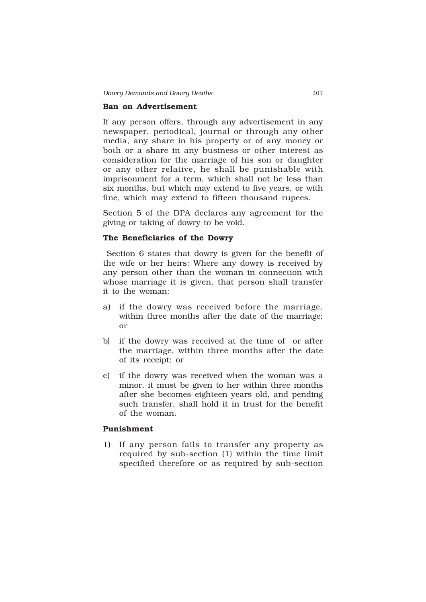#### **Ban on Advertisement**

If any person offers, through any advertisement in any newspaper, periodical, journal or through any other media, any share in his property or of any money or both or a share in any business or other interest as consideration for the marriage of his son or daughter or any other relative, he shall be punishable with imprisonment for a term, which shall not be less than six months, but which may extend to five years, or with fine, which may extend to fifteen thousand rupees.

Section 5 of the DPA declares any agreement for the giving or taking of dowry to be void.

### **The Beneficiaries of the Dowry**

 Section 6 states that dowry is given for the benefit of the wife or her heirs: Where any dowry is received by any person other than the woman in connection with whose marriage it is given, that person shall transfer it to the woman:

- a) if the dowry was received before the marriage, within three months after the date of the marriage; or
- b) if the dowry was received at the time of or after the marriage, within three months after the date of its receipt; or
- c) if the dowry was received when the woman was a minor, it must be given to her within three months after she becomes eighteen years old, and pending such transfer, shall hold it in trust for the benefit of the woman.

## **Punishment**

1) If any person fails to transfer any property as required by sub-section (1) within the time limit specified therefore or as required by sub-section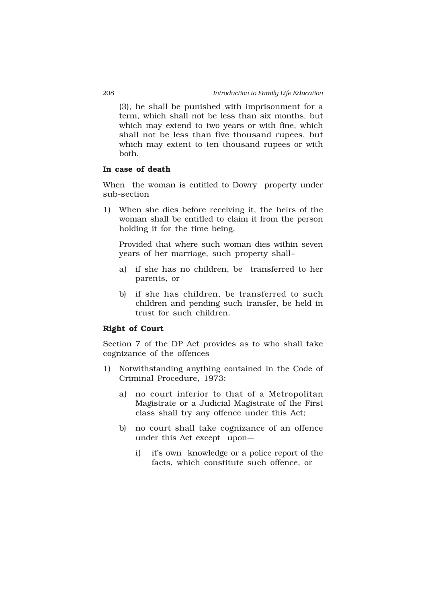(3), he shall be punished with imprisonment for a term, which shall not be less than six months, but which may extend to two years or with fine, which shall not be less than five thousand rupees, but which may extent to ten thousand rupees or with both.

### **In case of death**

When the woman is entitled to Dowry property under sub-section

1) When she dies before receiving it, the heirs of the woman shall be entitled to claim it from the person holding it for the time being.

Provided that where such woman dies within seven years of her marriage, such property shall-

- a) if she has no children, be transferred to her parents, or
- b) if she has children, be transferred to such children and pending such transfer, be held in trust for such children.

#### **Right of Court**

Section 7 of the DP Act provides as to who shall take cognizance of the offences

- 1) Notwithstanding anything contained in the Code of Criminal Procedure, 1973:
	- a) no court inferior to that of a Metropolitan Magistrate or a Judicial Magistrate of the First class shall try any offence under this Act;
	- b) no court shall take cognizance of an offence under this Act except upon--
		- i) it's own knowledge or a police report of the facts, which constitute such offence, or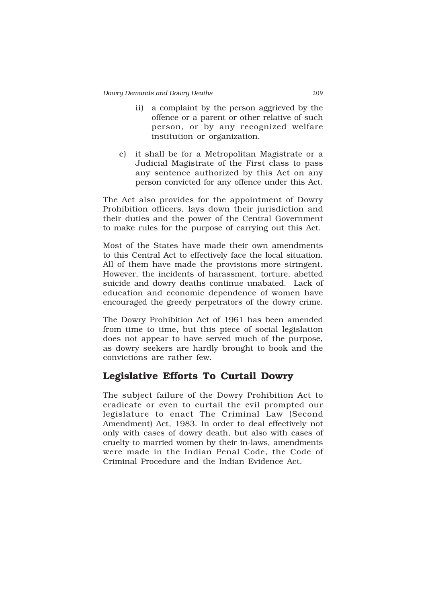- ii) a complaint by the person aggrieved by the offence or a parent or other relative of such person, or by any recognized welfare institution or organization.
- c) it shall be for a Metropolitan Magistrate or a Judicial Magistrate of the First class to pass any sentence authorized by this Act on any person convicted for any offence under this Act.

The Act also provides for the appointment of Dowry Prohibition officers, lays down their jurisdiction and their duties and the power of the Central Government to make rules for the purpose of carrying out this Act.

Most of the States have made their own amendments to this Central Act to effectively face the local situation. All of them have made the provisions more stringent. However, the incidents of harassment, torture, abetted suicide and dowry deaths continue unabated. Lack of education and economic dependence of women have encouraged the greedy perpetrators of the dowry crime.

The Dowry Prohibition Act of 1961 has been amended from time to time, but this piece of social legislation does not appear to have served much of the purpose, as dowry seekers are hardly brought to book and the convictions are rather few.

# **Legislative Efforts To Curtail Dowry**

The subject failure of the Dowry Prohibition Act to eradicate or even to curtail the evil prompted our legislature to enact The Criminal Law (Second Amendment) Act, 1983. In order to deal effectively not only with cases of dowry death, but also with cases of cruelty to married women by their in-laws, amendments were made in the Indian Penal Code, the Code of Criminal Procedure and the Indian Evidence Act.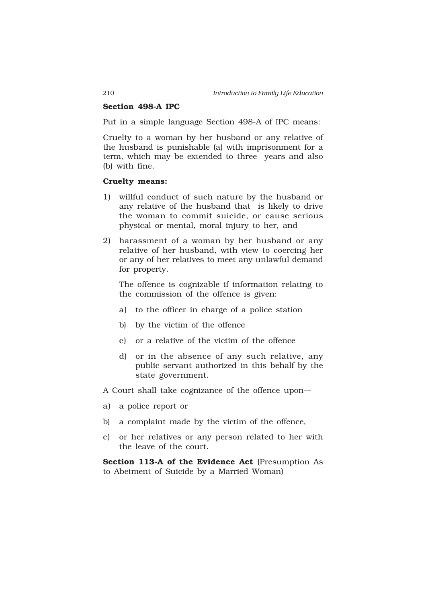#### **Section 498-A IPC**

Put in a simple language Section 498-A of IPC means:

Cruelty to a woman by her husband or any relative of the husband is punishable (a) with imprisonment for a term, which may be extended to three years and also (b) with fine.

#### **Cruelty means:**

- 1) willful conduct of such nature by the husband or any relative of the husband that is likely to drive the woman to commit suicide, or cause serious physical or mental, moral injury to her, and
- 2) harassment of a woman by her husband or any relative of her husband, with view to coercing her or any of her relatives to meet any unlawful demand for property.

The offence is cognizable if information relating to the commission of the offence is given:

- a) to the officer in charge of a police station
- b) by the victim of the offence
- c) or a relative of the victim of the offence
- d) or in the absence of any such relative, any public servant authorized in this behalf by the state government.

A Court shall take cognizance of the offence upon--

- a) a police report or
- b) a complaint made by the victim of the offence,
- c) or her relatives or any person related to her with the leave of the court.

**Section 113-A of the Evidence Act** (Presumption As to Abetment of Suicide by a Married Woman)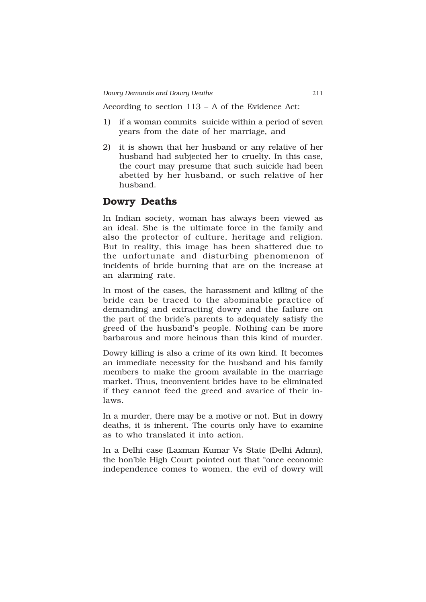According to section 113 – A of the Evidence Act:

- 1) if a woman commits suicide within a period of seven years from the date of her marriage, and
- 2) it is shown that her husband or any relative of her husband had subjected her to cruelty. In this case, the court may presume that such suicide had been abetted by her husband, or such relative of her husband.

# **Dowry Deaths**

In Indian society, woman has always been viewed as an ideal. She is the ultimate force in the family and also the protector of culture, heritage and religion. But in reality, this image has been shattered due to the unfortunate and disturbing phenomenon of incidents of bride burning that are on the increase at an alarming rate.

In most of the cases, the harassment and killing of the bride can be traced to the abominable practice of demanding and extracting dowry and the failure on the part of the bride's parents to adequately satisfy the greed of the husband's people. Nothing can be more barbarous and more heinous than this kind of murder.

Dowry killing is also a crime of its own kind. It becomes an immediate necessity for the husband and his family members to make the groom available in the marriage market. Thus, inconvenient brides have to be eliminated if they cannot feed the greed and avarice of their inlaws.

In a murder, there may be a motive or not. But in dowry deaths, it is inherent. The courts only have to examine as to who translated it into action.

In a Delhi case (Laxman Kumar Vs State (Delhi Admn), the hon'ble High Court pointed out that "once economic independence comes to women, the evil of dowry will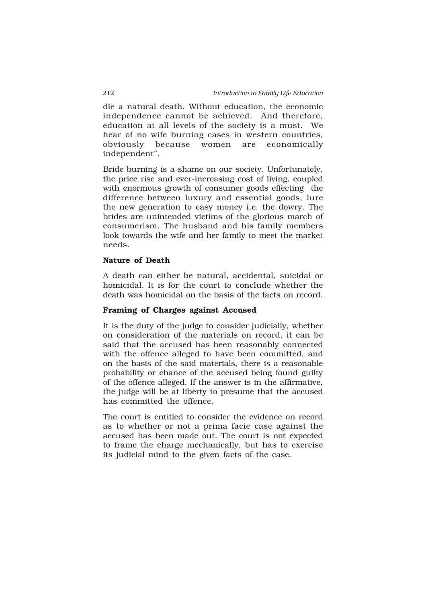die a natural death. Without education, the economic independence cannot be achieved. And therefore, education at all levels of the society is a must. We hear of no wife burning cases in western countries, obviously because women are economically independent".

Bride burning is a shame on our society. Unfortunately, the price rise and ever-increasing cost of living, coupled with enormous growth of consumer goods effecting the difference between luxury and essential goods, lure the new generation to easy money i.e. the dowry. The brides are unintended victims of the glorious march of consumerism. The husband and his family members look towards the wife and her family to meet the market needs.

#### **Nature of Death**

A death can either be natural, accidental, suicidal or homicidal. It is for the court to conclude whether the death was homicidal on the basis of the facts on record.

#### **Framing of Charges against Accused**

It is the duty of the judge to consider judicially, whether on consideration of the materials on record, it can be said that the accused has been reasonably connected with the offence alleged to have been committed, and on the basis of the said materials, there is a reasonable probability or chance of the accused being found guilty of the offence alleged. If the answer is in the affirmative, the judge will be at liberty to presume that the accused has committed the offence.

The court is entitled to consider the evidence on record as to whether or not a prima facie case against the accused has been made out. The court is not expected to frame the charge mechanically, but has to exercise its judicial mind to the given facts of the case.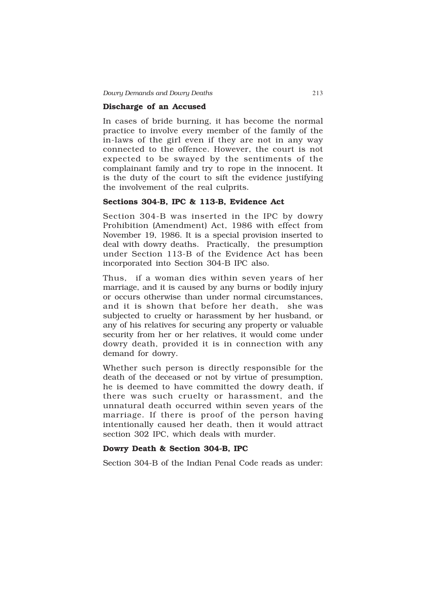#### **Discharge of an Accused**

In cases of bride burning, it has become the normal practice to involve every member of the family of the in-laws of the girl even if they are not in any way connected to the offence. However, the court is not expected to be swayed by the sentiments of the complainant family and try to rope in the innocent. It is the duty of the court to sift the evidence justifying the involvement of the real culprits.

### **Sections 304-B, IPC & 113-B, Evidence Act**

Section 304-B was inserted in the IPC by dowry Prohibition (Amendment) Act, 1986 with effect from November 19, 1986. It is a special provision inserted to deal with dowry deaths. Practically, the presumption under Section 113-B of the Evidence Act has been incorporated into Section 304-B IPC also.

Thus, if a woman dies within seven years of her marriage, and it is caused by any burns or bodily injury or occurs otherwise than under normal circumstances, and it is shown that before her death, she was subjected to cruelty or harassment by her husband, or any of his relatives for securing any property or valuable security from her or her relatives, it would come under dowry death, provided it is in connection with any demand for dowry.

Whether such person is directly responsible for the death of the deceased or not by virtue of presumption, he is deemed to have committed the dowry death, if there was such cruelty or harassment, and the unnatural death occurred within seven years of the marriage. If there is proof of the person having intentionally caused her death, then it would attract section 302 IPC, which deals with murder.

#### **Dowry Death & Section 304-B, IPC**

Section 304-B of the Indian Penal Code reads as under: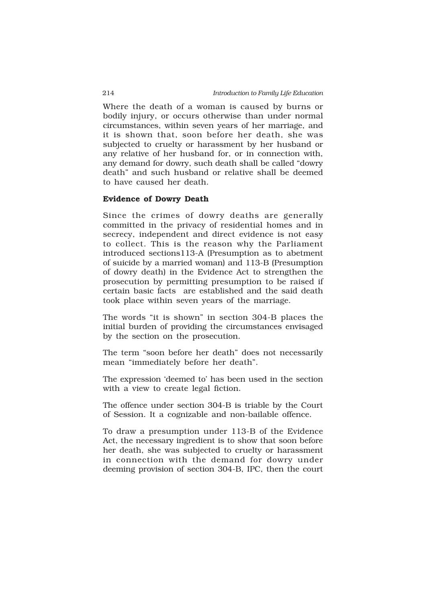Where the death of a woman is caused by burns or bodily injury, or occurs otherwise than under normal circumstances, within seven years of her marriage, and it is shown that, soon before her death, she was subjected to cruelty or harassment by her husband or any relative of her husband for, or in connection with, any demand for dowry, such death shall be called "dowry death" and such husband or relative shall be deemed to have caused her death.

#### **Evidence of Dowry Death**

Since the crimes of dowry deaths are generally committed in the privacy of residential homes and in secrecy, independent and direct evidence is not easy to collect. This is the reason why the Parliament introduced sections113-A (Presumption as to abetment of suicide by a married woman) and 113-B (Presumption of dowry death) in the Evidence Act to strengthen the prosecution by permitting presumption to be raised if certain basic facts are established and the said death took place within seven years of the marriage.

The words "it is shown" in section 304-B places the initial burden of providing the circumstances envisaged by the section on the prosecution.

The term "soon before her death" does not necessarily mean "immediately before her death".

The expression 'deemed to' has been used in the section with a view to create legal fiction.

The offence under section 304-B is triable by the Court of Session. It a cognizable and non-bailable offence.

To draw a presumption under 113-B of the Evidence Act, the necessary ingredient is to show that soon before her death, she was subjected to cruelty or harassment in connection with the demand for dowry under deeming provision of section 304-B, IPC, then the court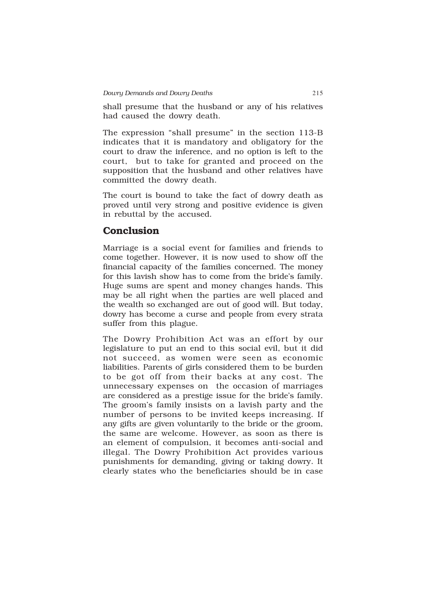shall presume that the husband or any of his relatives had caused the dowry death.

The expression "shall presume" in the section 113-B indicates that it is mandatory and obligatory for the court to draw the inference, and no option is left to the court, but to take for granted and proceed on the supposition that the husband and other relatives have committed the dowry death.

The court is bound to take the fact of dowry death as proved until very strong and positive evidence is given in rebuttal by the accused.

# **Conclusion**

Marriage is a social event for families and friends to come together. However, it is now used to show off the financial capacity of the families concerned. The money for this lavish show has to come from the bride's family. Huge sums are spent and money changes hands. This may be all right when the parties are well placed and the wealth so exchanged are out of good will. But today, dowry has become a curse and people from every strata suffer from this plague.

The Dowry Prohibition Act was an effort by our legislature to put an end to this social evil, but it did not succeed, as women were seen as economic liabilities. Parents of girls considered them to be burden to be got off from their backs at any cost. The unnecessary expenses on the occasion of marriages are considered as a prestige issue for the bride's family. The groom's family insists on a lavish party and the number of persons to be invited keeps increasing. If any gifts are given voluntarily to the bride or the groom, the same are welcome. However, as soon as there is an element of compulsion, it becomes anti-social and illegal. The Dowry Prohibition Act provides various punishments for demanding, giving or taking dowry. It clearly states who the beneficiaries should be in case